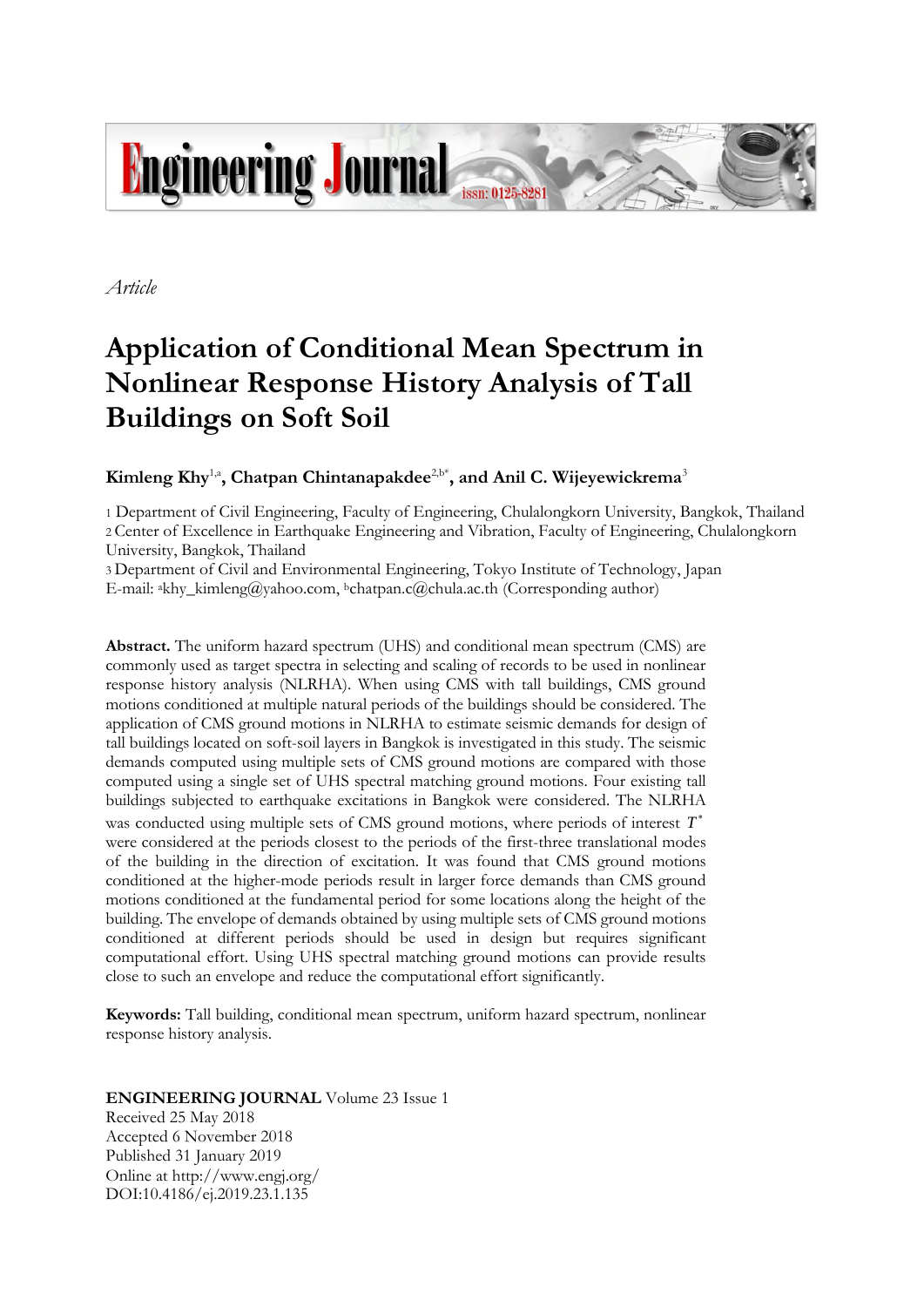

*Article*

# **Application of Conditional Mean Spectrum in Nonlinear Response History Analysis of Tall Buildings on Soft Soil**

# $\mathbf{K}$ imleng  $\mathbf{K}$ hy<sup>1,a</sup>, Chatpan Chintanapakdee<sup>2,b\*</sup>, and Anil C. Wijeyewickrema<sup>3</sup>

1 Department of Civil Engineering, Faculty of Engineering, Chulalongkorn University, Bangkok, Thailand 2 Center of Excellence in Earthquake Engineering and Vibration, Faculty of Engineering, Chulalongkorn University, Bangkok, Thailand

3 Department of Civil and Environmental Engineering, Tokyo Institute of Technology, Japan E-mail: akhy\_kimleng@yahoo.com, <sup>b</sup>chatpan.c@chula.ac.th (Corresponding author)

**Abstract.** The uniform hazard spectrum (UHS) and conditional mean spectrum (CMS) are commonly used as target spectra in selecting and scaling of records to be used in nonlinear response history analysis (NLRHA). When using CMS with tall buildings, CMS ground motions conditioned at multiple natural periods of the buildings should be considered. The application of CMS ground motions in NLRHA to estimate seismic demands for design of tall buildings located on soft-soil layers in Bangkok is investigated in this study. The seismic demands computed using multiple sets of CMS ground motions are compared with those computed using a single set of UHS spectral matching ground motions. Four existing tall buildings subjected to earthquake excitations in Bangkok were considered. The NLRHA was conducted using multiple sets of CMS ground motions, where periods of interest *T* were considered at the periods closest to the periods of the first-three translational modes of the building in the direction of excitation. It was found that CMS ground motions conditioned at the higher-mode periods result in larger force demands than CMS ground motions conditioned at the fundamental period for some locations along the height of the building. The envelope of demands obtained by using multiple sets of CMS ground motions conditioned at different periods should be used in design but requires significant computational effort. Using UHS spectral matching ground motions can provide results close to such an envelope and reduce the computational effort significantly.

**Keywords:** Tall building, conditional mean spectrum, uniform hazard spectrum, nonlinear response history analysis.

# **ENGINEERING JOURNAL** Volume 23 Issue 1

Received 25 May 2018 Accepted 6 November 2018 Published 31 January 2019 Online at http://www.engj.org/ DOI:10.4186/ej.2019.23.1.135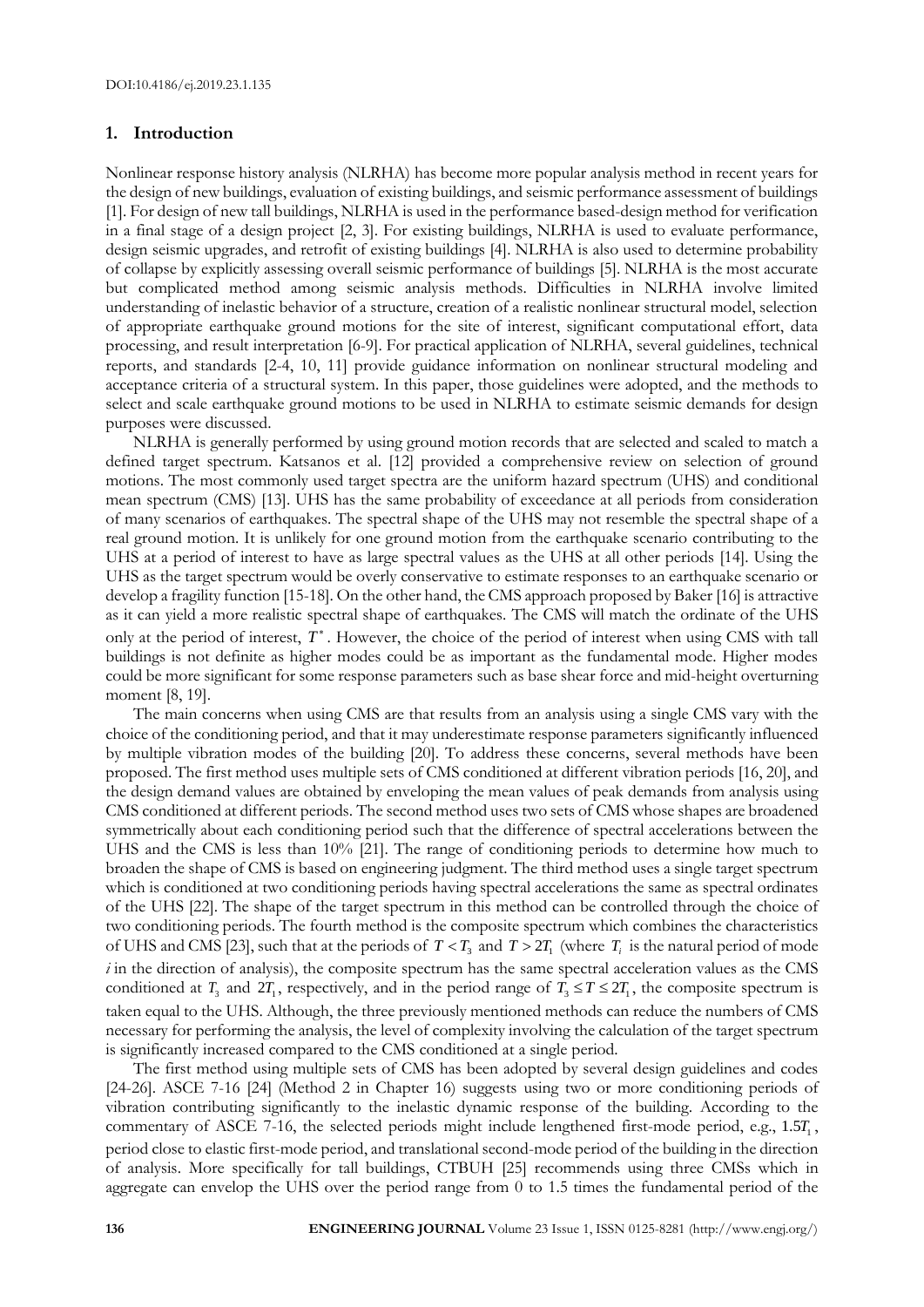#### **1. Introduction**

Nonlinear response history analysis (NLRHA) has become more popular analysis method in recent years for the design of new buildings, evaluation of existing buildings, and seismic performance assessment of buildings [1]. For design of new tall buildings, NLRHA is used in the performance based-design method for verification in a final stage of a design project [2, 3]. For existing buildings, NLRHA is used to evaluate performance, design seismic upgrades, and retrofit of existing buildings [4]. NLRHA is also used to determine probability of collapse by explicitly assessing overall seismic performance of buildings [5]. NLRHA is the most accurate but complicated method among seismic analysis methods. Difficulties in NLRHA involve limited understanding of inelastic behavior of a structure, creation of a realistic nonlinear structural model, selection of appropriate earthquake ground motions for the site of interest, significant computational effort, data processing, and result interpretation [6-9]. For practical application of NLRHA, several guidelines, technical reports, and standards [2-4, 10, 11] provide guidance information on nonlinear structural modeling and acceptance criteria of a structural system. In this paper, those guidelines were adopted, and the methods to select and scale earthquake ground motions to be used in NLRHA to estimate seismic demands for design purposes were discussed.

NLRHA is generally performed by using ground motion records that are selected and scaled to match a defined target spectrum. Katsanos et al. [12] provided a comprehensive review on selection of ground motions. The most commonly used target spectra are the uniform hazard spectrum (UHS) and conditional mean spectrum (CMS) [13]. UHS has the same probability of exceedance at all periods from consideration of many scenarios of earthquakes. The spectral shape of the UHS may not resemble the spectral shape of a real ground motion. It is unlikely for one ground motion from the earthquake scenario contributing to the UHS at a period of interest to have as large spectral values as the UHS at all other periods [14]. Using the UHS as the target spectrum would be overly conservative to estimate responses to an earthquake scenario or develop a fragility function [15-18]. On the other hand, the CMS approach proposed by Baker [16] is attractive as it can yield a more realistic spectral shape of earthquakes. The CMS will match the ordinate of the UHS only at the period of interest, *T* . However, the choice of the period of interest when using CMS with tall buildings is not definite as higher modes could be as important as the fundamental mode. Higher modes could be more significant for some response parameters such as base shear force and mid-height overturning moment [8, 19].

The main concerns when using CMS are that results from an analysis using a single CMS vary with the choice of the conditioning period, and that it may underestimate response parameters significantly influenced by multiple vibration modes of the building [20]. To address these concerns, several methods have been proposed. The first method uses multiple sets of CMS conditioned at different vibration periods [16, 20], and the design demand values are obtained by enveloping the mean values of peak demands from analysis using CMS conditioned at different periods. The second method uses two sets of CMS whose shapes are broadened symmetrically about each conditioning period such that the difference of spectral accelerations between the UHS and the CMS is less than 10% [21]. The range of conditioning periods to determine how much to broaden the shape of CMS is based on engineering judgment. The third method uses a single target spectrum which is conditioned at two conditioning periods having spectral accelerations the same as spectral ordinates of the UHS [22]. The shape of the target spectrum in this method can be controlled through the choice of two conditioning periods. The fourth method is the composite spectrum which combines the characteristics of UHS and CMS [23], such that at the periods of  $T < T_3$  and  $T > 2T_1$  (where  $T_i$  is the natural period of mode *i* in the direction of analysis), the composite spectrum has the same spectral acceleration values as the CMS conditioned at  $T_3$  and  $2T_1$ , respectively, and in the period range of  $T_3 \le T \le 2T_1$ , the composite spectrum is taken equal to the UHS. Although, the three previously mentioned methods can reduce the numbers of CMS necessary for performing the analysis, the level of complexity involving the calculation of the target spectrum is significantly increased compared to the CMS conditioned at a single period.

The first method using multiple sets of CMS has been adopted by several design guidelines and codes [24-26]. ASCE 7-16 [24] (Method 2 in Chapter 16) suggests using two or more conditioning periods of vibration contributing significantly to the inelastic dynamic response of the building. According to the commentary of ASCE 7-16, the selected periods might include lengthened first-mode period, e.g.,  $1.5T_1$ , period close to elastic first-mode period, and translational second-mode period of the building in the direction of analysis. More specifically for tall buildings, CTBUH [25] recommends using three CMSs which in aggregate can envelop the UHS over the period range from 0 to 1.5 times the fundamental period of the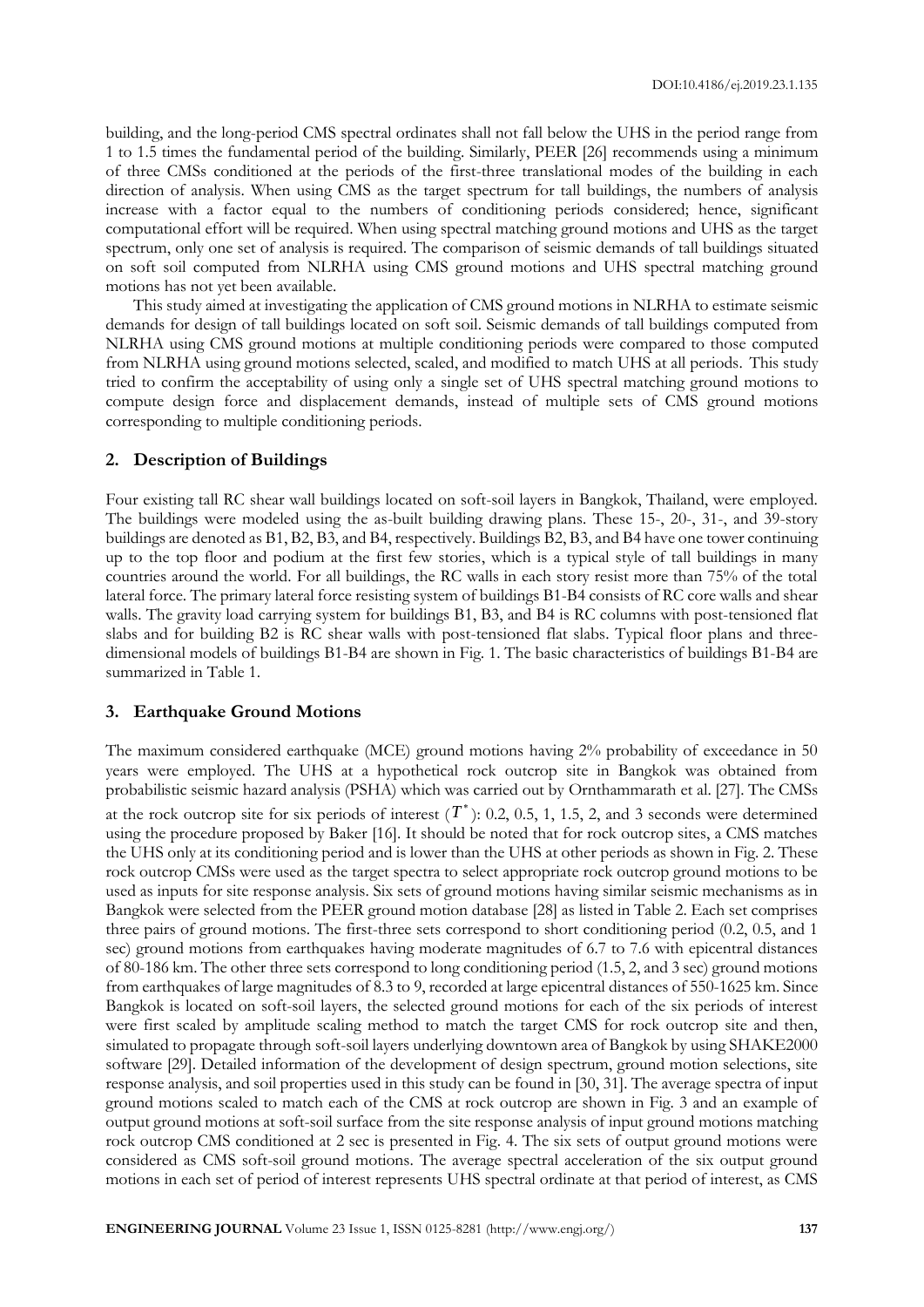building, and the long-period CMS spectral ordinates shall not fall below the UHS in the period range from 1 to 1.5 times the fundamental period of the building. Similarly, PEER [26] recommends using a minimum of three CMSs conditioned at the periods of the first-three translational modes of the building in each direction of analysis. When using CMS as the target spectrum for tall buildings, the numbers of analysis increase with a factor equal to the numbers of conditioning periods considered; hence, significant computational effort will be required. When using spectral matching ground motions and UHS as the target spectrum, only one set of analysis is required. The comparison of seismic demands of tall buildings situated on soft soil computed from NLRHA using CMS ground motions and UHS spectral matching ground motions has not yet been available.

This study aimed at investigating the application of CMS ground motions in NLRHA to estimate seismic demands for design of tall buildings located on soft soil. Seismic demands of tall buildings computed from NLRHA using CMS ground motions at multiple conditioning periods were compared to those computed from NLRHA using ground motions selected, scaled, and modified to match UHS at all periods. This study tried to confirm the acceptability of using only a single set of UHS spectral matching ground motions to compute design force and displacement demands, instead of multiple sets of CMS ground motions corresponding to multiple conditioning periods.

#### **2. Description of Buildings**

Four existing tall RC shear wall buildings located on soft-soil layers in Bangkok, Thailand, were employed. The buildings were modeled using the as-built building drawing plans. These 15-, 20-, 31-, and 39-story buildings are denoted as B1, B2, B3, and B4, respectively. Buildings B2, B3, and B4 have one tower continuing up to the top floor and podium at the first few stories, which is a typical style of tall buildings in many countries around the world. For all buildings, the RC walls in each story resist more than 75% of the total lateral force. The primary lateral force resisting system of buildings B1-B4 consists of RC core walls and shear walls. The gravity load carrying system for buildings B1, B3, and B4 is RC columns with post-tensioned flat slabs and for building B2 is RC shear walls with post-tensioned flat slabs. Typical floor plans and threedimensional models of buildings B1-B4 are shown in Fig. 1. The basic characteristics of buildings B1-B4 are summarized in Table 1.

#### **3. Earthquake Ground Motions**

The maximum considered earthquake (MCE) ground motions having 2% probability of exceedance in 50 years were employed. The UHS at a hypothetical rock outcrop site in Bangkok was obtained from probabilistic seismic hazard analysis (PSHA) which was carried out by Ornthammarath et al. [27]. The CMSs at the rock outcrop site for six periods of interest  $(T^*)$ : 0.2, 0.5, 1, 1.5, 2, and 3 seconds were determined using the procedure proposed by Baker [16]. It should be noted that for rock outcrop sites, a CMS matches the UHS only at its conditioning period and is lower than the UHS at other periods as shown in Fig. 2. These rock outcrop CMSs were used as the target spectra to select appropriate rock outcrop ground motions to be used as inputs for site response analysis. Six sets of ground motions having similar seismic mechanisms as in Bangkok were selected from the PEER ground motion database [28] as listed in Table 2. Each set comprises three pairs of ground motions. The first-three sets correspond to short conditioning period (0.2, 0.5, and 1 sec) ground motions from earthquakes having moderate magnitudes of 6.7 to 7.6 with epicentral distances of 80-186 km. The other three sets correspond to long conditioning period (1.5, 2, and 3 sec) ground motions from earthquakes of large magnitudes of 8.3 to 9, recorded at large epicentral distances of 550-1625 km. Since Bangkok is located on soft-soil layers, the selected ground motions for each of the six periods of interest were first scaled by amplitude scaling method to match the target CMS for rock outcrop site and then, simulated to propagate through soft-soil layers underlying downtown area of Bangkok by using SHAKE2000 software [29]. Detailed information of the development of design spectrum, ground motion selections, site response analysis, and soil properties used in this study can be found in [30, 31]. The average spectra of input ground motions scaled to match each of the CMS at rock outcrop are shown in Fig. 3 and an example of output ground motions at soft-soil surface from the site response analysis of input ground motions matching rock outcrop CMS conditioned at 2 sec is presented in Fig. 4. The six sets of output ground motions were considered as CMS soft-soil ground motions. The average spectral acceleration of the six output ground motions in each set of period of interest represents UHS spectral ordinate at that period of interest, as CMS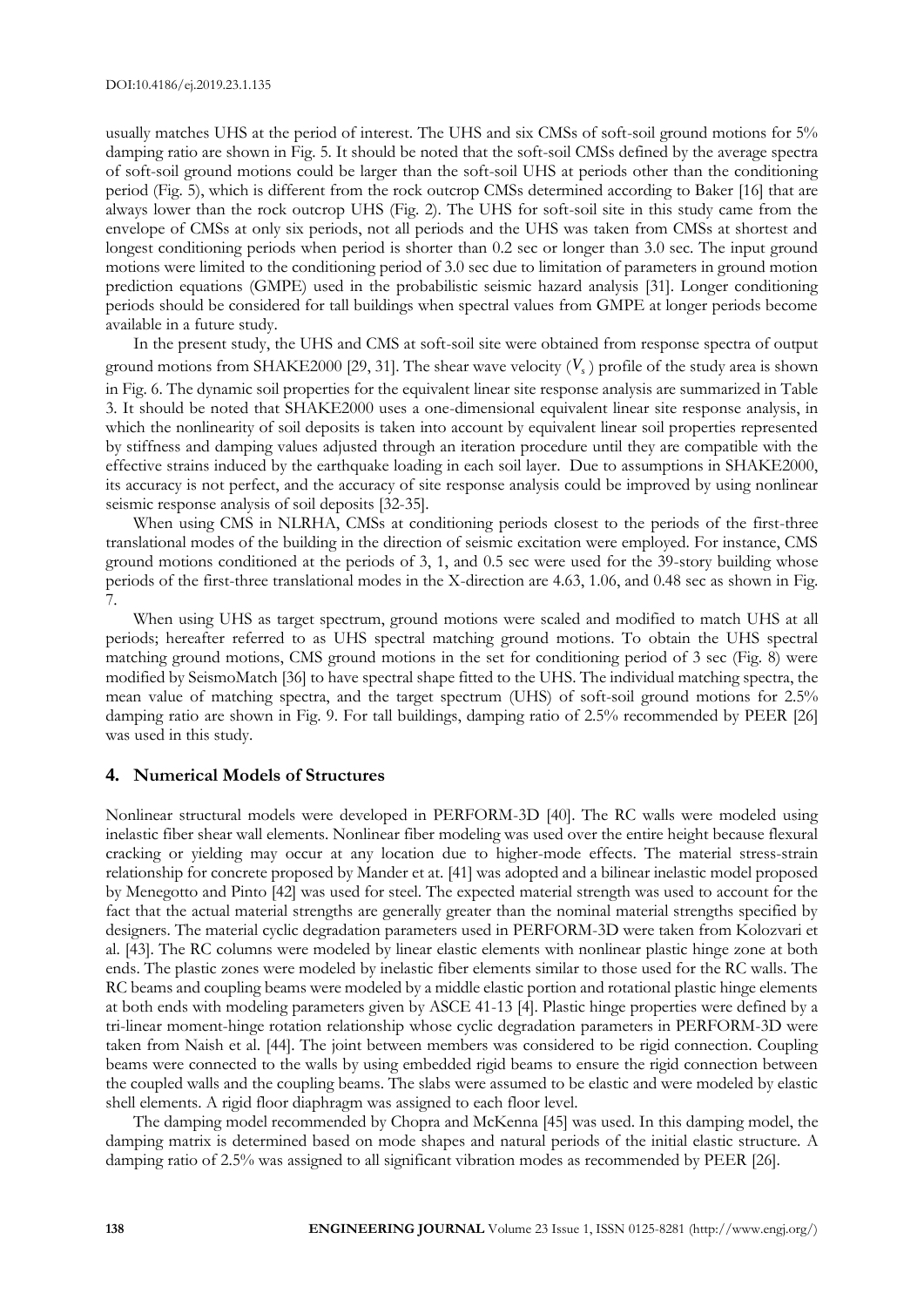usually matches UHS at the period of interest. The UHS and six CMSs of soft-soil ground motions for 5% damping ratio are shown in Fig. 5. It should be noted that the soft-soil CMSs defined by the average spectra of soft-soil ground motions could be larger than the soft-soil UHS at periods other than the conditioning period (Fig. 5), which is different from the rock outcrop CMSs determined according to Baker [16] that are always lower than the rock outcrop UHS (Fig. 2). The UHS for soft-soil site in this study came from the envelope of CMSs at only six periods, not all periods and the UHS was taken from CMSs at shortest and longest conditioning periods when period is shorter than 0.2 sec or longer than 3.0 sec. The input ground motions were limited to the conditioning period of 3.0 sec due to limitation of parameters in ground motion prediction equations (GMPE) used in the probabilistic seismic hazard analysis [31]. Longer conditioning periods should be considered for tall buildings when spectral values from GMPE at longer periods become available in a future study.

In the present study, the UHS and CMS at soft-soil site were obtained from response spectra of output ground motions from SHAKE2000 [29, 31]. The shear wave velocity  $(V_s)$  profile of the study area is shown in Fig. 6. The dynamic soil properties for the equivalent linear site response analysis are summarized in Table 3. It should be noted that SHAKE2000 uses a one-dimensional equivalent linear site response analysis, in which the nonlinearity of soil deposits is taken into account by equivalent linear soil properties represented by stiffness and damping values adjusted through an iteration procedure until they are compatible with the effective strains induced by the earthquake loading in each soil layer. Due to assumptions in SHAKE2000, its accuracy is not perfect, and the accuracy of site response analysis could be improved by using nonlinear seismic response analysis of soil deposits [32-35].

When using CMS in NLRHA, CMSs at conditioning periods closest to the periods of the first-three translational modes of the building in the direction of seismic excitation were employed. For instance, CMS ground motions conditioned at the periods of 3, 1, and 0.5 sec were used for the 39-story building whose periods of the first-three translational modes in the X-direction are 4.63, 1.06, and 0.48 sec as shown in Fig. 7.

When using UHS as target spectrum, ground motions were scaled and modified to match UHS at all periods; hereafter referred to as UHS spectral matching ground motions. To obtain the UHS spectral matching ground motions, CMS ground motions in the set for conditioning period of 3 sec (Fig. 8) were modified by SeismoMatch [36] to have spectral shape fitted to the UHS. The individual matching spectra, the mean value of matching spectra, and the target spectrum (UHS) of soft-soil ground motions for 2.5% damping ratio are shown in Fig. 9. For tall buildings, damping ratio of 2.5% recommended by PEER [26] was used in this study.

#### **4. Numerical Models of Structures**

Nonlinear structural models were developed in PERFORM-3D [40]. The RC walls were modeled using inelastic fiber shear wall elements. Nonlinear fiber modeling was used over the entire height because flexural cracking or yielding may occur at any location due to higher-mode effects. The material stress-strain relationship for concrete proposed by Mander et at. [41] was adopted and a bilinear inelastic model proposed by Menegotto and Pinto [42] was used for steel. The expected material strength was used to account for the fact that the actual material strengths are generally greater than the nominal material strengths specified by designers. The material cyclic degradation parameters used in PERFORM-3D were taken from Kolozvari et al. [43]. The RC columns were modeled by linear elastic elements with nonlinear plastic hinge zone at both ends. The plastic zones were modeled by inelastic fiber elements similar to those used for the RC walls. The RC beams and coupling beams were modeled by a middle elastic portion and rotational plastic hinge elements at both ends with modeling parameters given by ASCE 41-13 [4]. Plastic hinge properties were defined by a tri-linear moment-hinge rotation relationship whose cyclic degradation parameters in PERFORM-3D were taken from Naish et al. [44]. The joint between members was considered to be rigid connection. Coupling beams were connected to the walls by using embedded rigid beams to ensure the rigid connection between the coupled walls and the coupling beams. The slabs were assumed to be elastic and were modeled by elastic shell elements. A rigid floor diaphragm was assigned to each floor level.

The damping model recommended by Chopra and McKenna [45] was used. In this damping model, the damping matrix is determined based on mode shapes and natural periods of the initial elastic structure. A damping ratio of 2.5% was assigned to all significant vibration modes as recommended by PEER [26].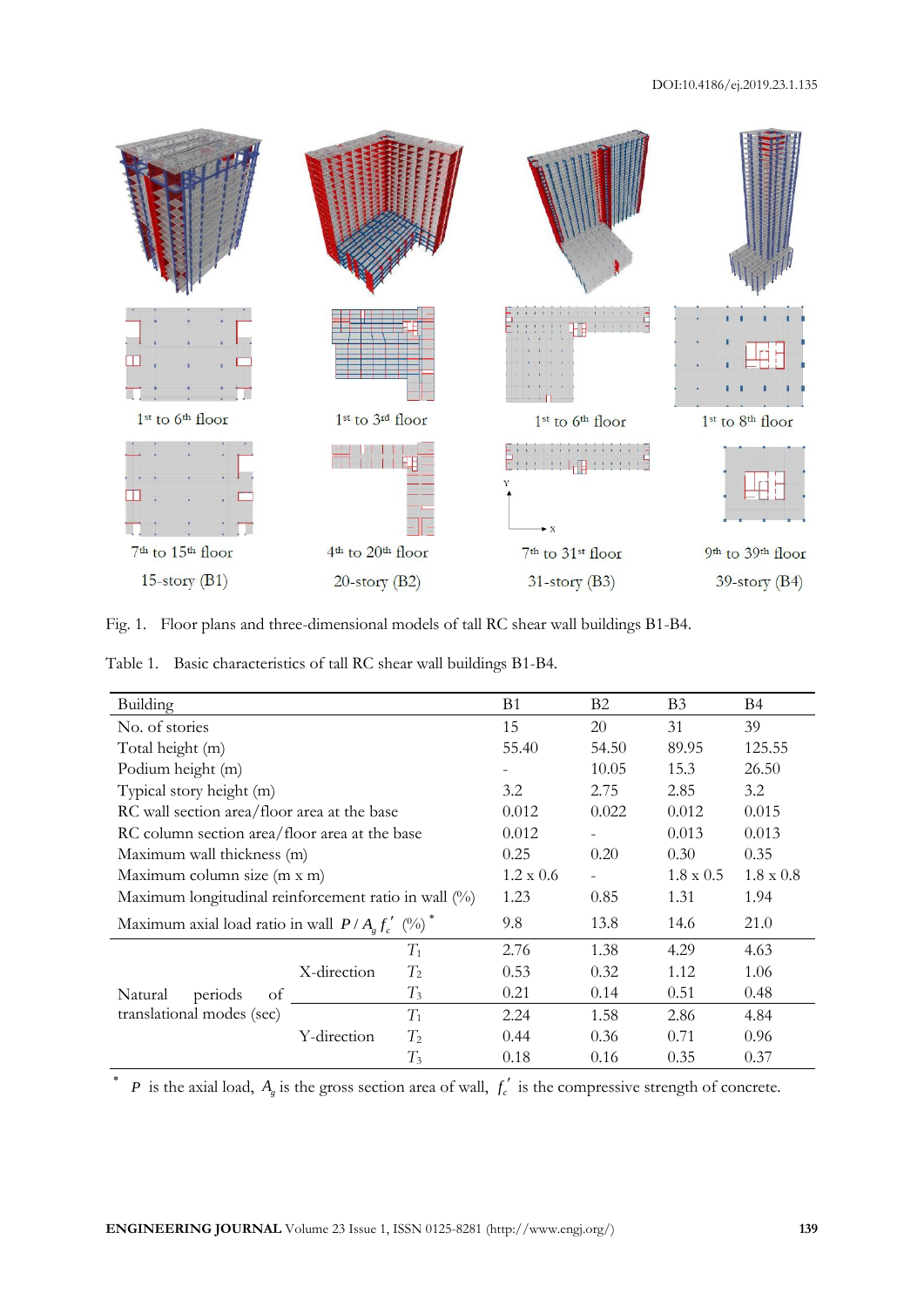

Fig. 1. Floor plans and three-dimensional models of tall RC shear wall buildings B1-B4.

Table 1. Basic characteristics of tall RC shear wall buildings B1-B4.

| Building                                                        | <b>B</b> 1       | B <sub>2</sub> | B <sub>3</sub>   | Β4               |      |      |
|-----------------------------------------------------------------|------------------|----------------|------------------|------------------|------|------|
| No. of stories                                                  | 15               | 20             | 31               | 39               |      |      |
| Total height (m)                                                | 55.40            | 54.50          | 89.95            | 125.55           |      |      |
| Podium height (m)                                               |                  | 10.05          | 15.3             | 26.50            |      |      |
| Typical story height (m)                                        | 3.2              | 2.75           | 2.85             | 3.2              |      |      |
| RC wall section area/floor area at the base                     | 0.012            | 0.022          | 0.012            | 0.015            |      |      |
| RC column section area/floor area at the base                   | 0.012            |                | 0.013            | 0.013            |      |      |
| Maximum wall thickness (m)                                      | 0.25             | 0.20           | 0.30             | 0.35             |      |      |
| Maximum column size (m x m)                                     | $1.2 \times 0.6$ |                | $1.8 \times 0.5$ | $1.8 \times 0.8$ |      |      |
| Maximum longitudinal reinforcement ratio in wall (%)            | 1.23             | 0.85           | 1.31             | 1.94             |      |      |
| Maximum axial load ratio in wall $P/Ag f'_{c}$ (%) <sup>*</sup> | 9.8              | 13.8           | 14.6             | 21.0             |      |      |
|                                                                 | X-direction      | $T_1$          | 2.76             | 1.38             | 4.29 | 4.63 |
|                                                                 |                  | $T_2$          | 0.53             | 0.32             | 1.12 | 1.06 |
| Natural<br>periods<br>of                                        |                  | $T_3$          | 0.21             | 0.14             | 0.51 | 0.48 |
| translational modes (sec)                                       | Y-direction      | $T_1$          | 2.24             | 1.58             | 2.86 | 4.84 |
|                                                                 |                  | $T_2$          | 0.44             | 0.36             | 0.71 | 0.96 |
|                                                                 |                  | $T_3$          | 0.18             | 0.16             | 0.35 | 0.37 |

<sup>\*</sup> *P* is the axial load,  $A_g$  is the gross section area of wall,  $f'_c$  is the compressive strength of concrete.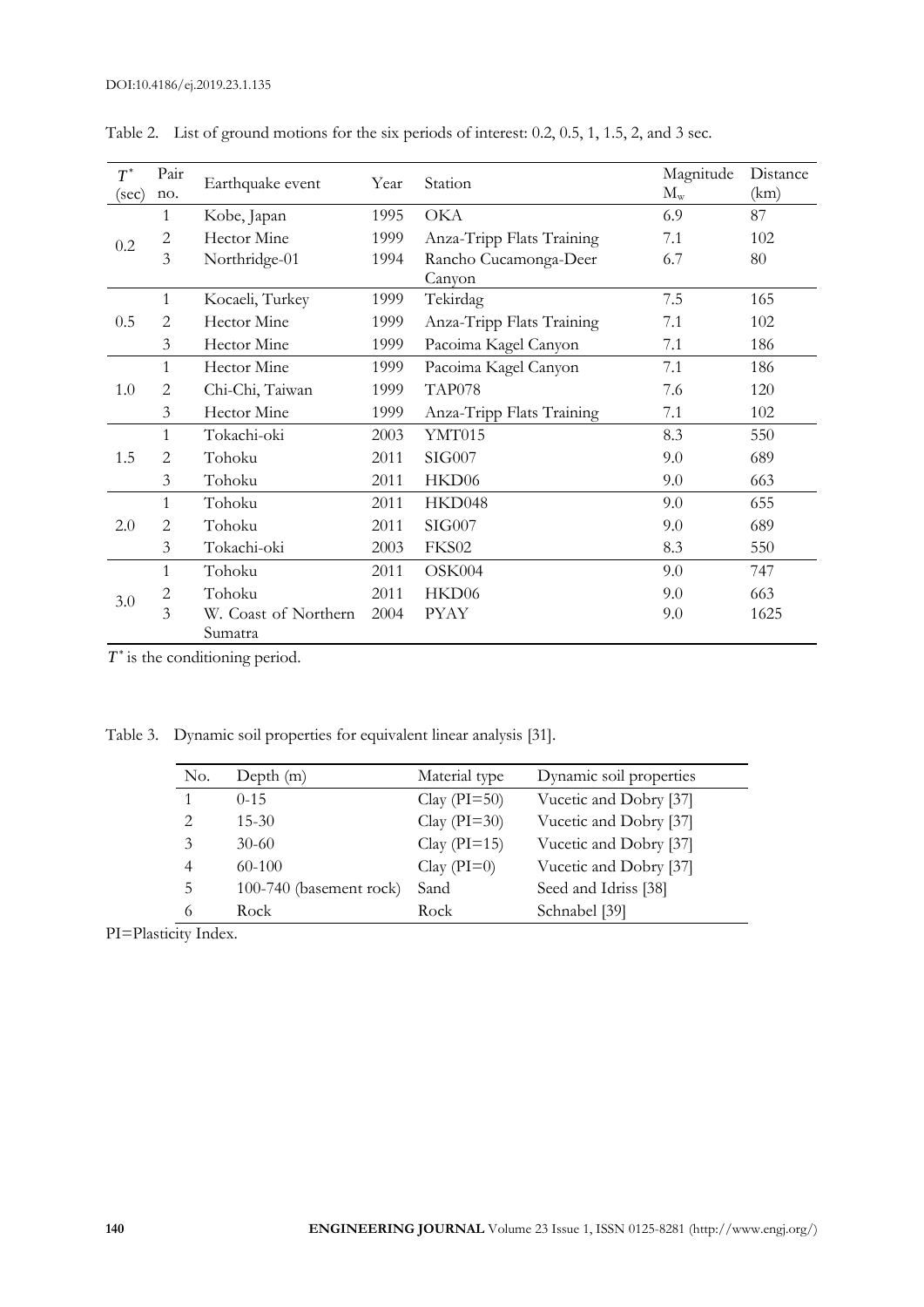| $T^{\ast}$                      | Pair<br>no.    | Earthquake event     | Year | Station                         | Magnitude<br>$M_{\rm w}$ | Distance<br>(km) |
|---------------------------------|----------------|----------------------|------|---------------------------------|--------------------------|------------------|
| $(\sec)$                        | 1              | Kobe, Japan          | 1995 | <b>OKA</b>                      | 6.9                      | 87               |
| 0.2                             | $\overline{c}$ | Hector Mine          | 1999 | Anza-Tripp Flats Training       | 7.1                      | 102              |
|                                 | 3              | Northridge-01        | 1994 | Rancho Cucamonga-Deer<br>Canyon | 6.7                      | 80               |
|                                 | $\mathbf{1}$   | Kocaeli, Turkey      | 1999 | Tekirdag                        | 7.5                      | 165              |
| 0.5                             | 2              | Hector Mine          | 1999 | Anza-Tripp Flats Training       | 7.1                      | 102              |
|                                 | 3              | Hector Mine          | 1999 | Pacoima Kagel Canyon            | 7.1                      | 186              |
| 1.0                             | $\mathbf{1}$   | Hector Mine          | 1999 | Pacoima Kagel Canyon            | 7.1                      | 186              |
|                                 | $\overline{2}$ | Chi-Chi, Taiwan      | 1999 | TAP078                          | 7.6                      | 120              |
|                                 | 3              | Hector Mine          | 1999 | Anza-Tripp Flats Training       | 7.1                      | 102              |
| 1<br>$\overline{2}$<br>1.5<br>3 |                | Tokachi-oki          | 2003 | YMT015                          | 8.3                      | 550              |
|                                 |                | Tohoku               | 2011 | SIG007                          | 9.0                      | 689              |
|                                 |                | Tohoku               | 2011 | HKD06                           | 9.0                      | 663              |
|                                 | 1              | Tohoku               | 2011 | HKD048                          | 9.0                      | 655              |
| 2.0                             | 2              | Tohoku               | 2011 | SIG007                          | 9.0                      | 689              |
|                                 | 3              | Tokachi-oki          | 2003 | FKS02                           | 8.3                      | 550              |
| 3.0                             | $\mathbf{1}$   | Tohoku               | 2011 | OSK004                          | 9.0                      | 747              |
|                                 | $\overline{c}$ | Tohoku               | 2011 | HKD06                           | 9.0                      | 663              |
|                                 | 3              | W. Coast of Northern | 2004 | <b>PYAY</b>                     | 9.0                      | 1625             |
|                                 |                | Sumatra              |      |                                 |                          |                  |

Table 2. List of ground motions for the six periods of interest: 0.2, 0.5, 1, 1.5, 2, and 3 sec.

 $T^*$  is the conditioning period.

Table 3. Dynamic soil properties for equivalent linear analysis [31].

| No.                           | Depth $(m)$             | Material type    | Dynamic soil properties |
|-------------------------------|-------------------------|------------------|-------------------------|
| 1                             | $0 - 15$                | Clay $(PI=50)$   | Vucetic and Dobry [37]  |
| $\mathfrak{D}_{\mathfrak{p}}$ | $15 - 30$               | Clay $(PI=30)$   | Vucetic and Dobry [37]  |
| 3                             | $30-60$                 | Clay ( $PI=15$ ) | Vucetic and Dobry [37]  |
| $\overline{4}$                | $60-100$                | Clay $(PI=0)$    | Vucetic and Dobry [37]  |
| 5                             | 100-740 (basement rock) | Sand             | Seed and Idriss [38]    |
| 6                             | Rock                    | Rock             | Schnabel [39]           |

PI=Plasticity Index.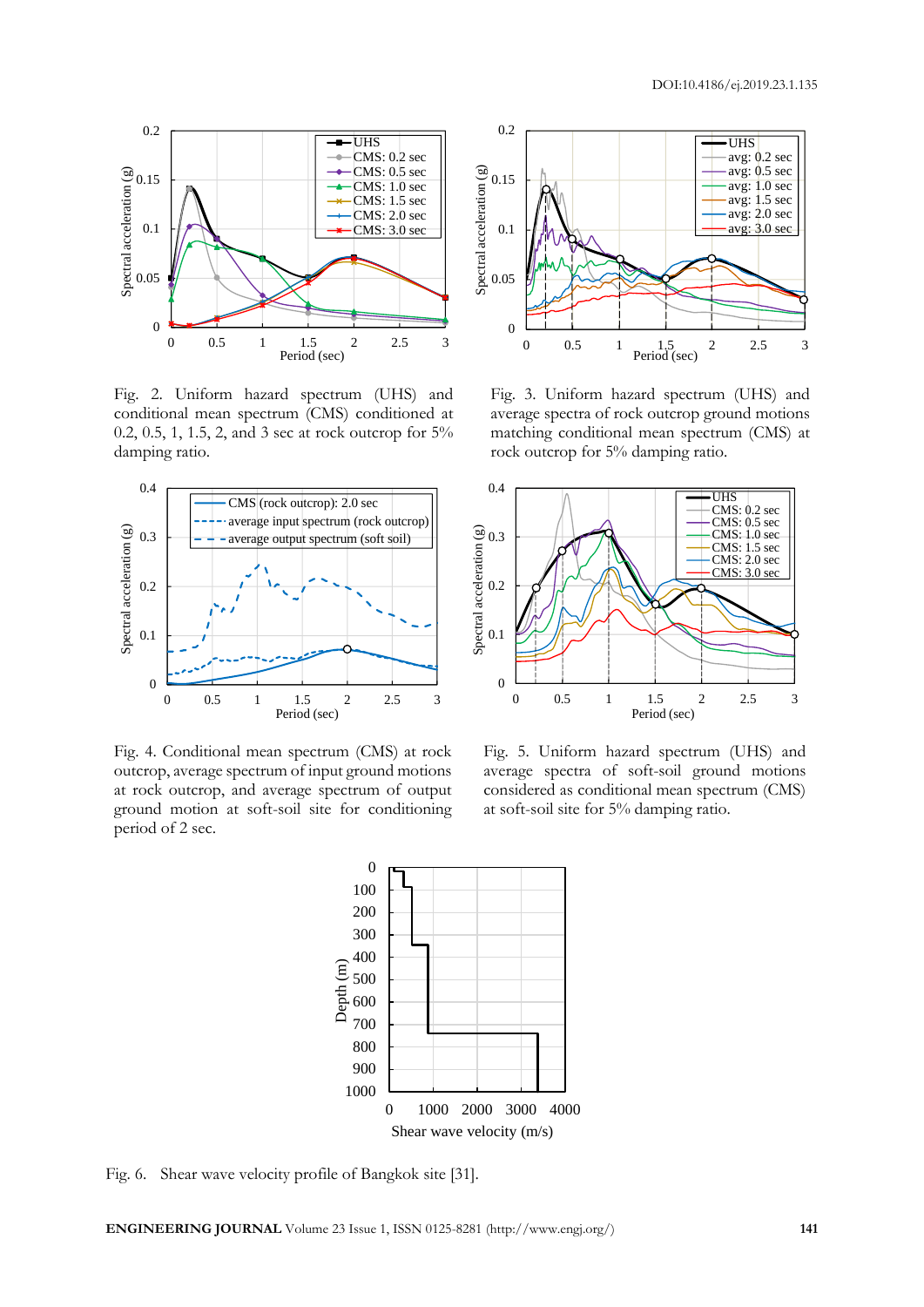

Fig. 2. Uniform hazard spectrum (UHS) and conditional mean spectrum (CMS) conditioned at 0.2, 0.5, 1, 1.5, 2, and 3 sec at rock outcrop for 5% damping ratio.



Fig. 4. Conditional mean spectrum (CMS) at rock outcrop, average spectrum of input ground motions at rock outcrop, and average spectrum of output ground motion at soft-soil site for conditioning period of 2 sec.



Fig. 3. Uniform hazard spectrum (UHS) and average spectra of rock outcrop ground motions matching conditional mean spectrum (CMS) at rock outcrop for 5% damping ratio.



Fig. 5. Uniform hazard spectrum (UHS) and average spectra of soft-soil ground motions considered as conditional mean spectrum (CMS) at soft-soil site for 5% damping ratio.



Fig. 6. Shear wave velocity profile of Bangkok site [31].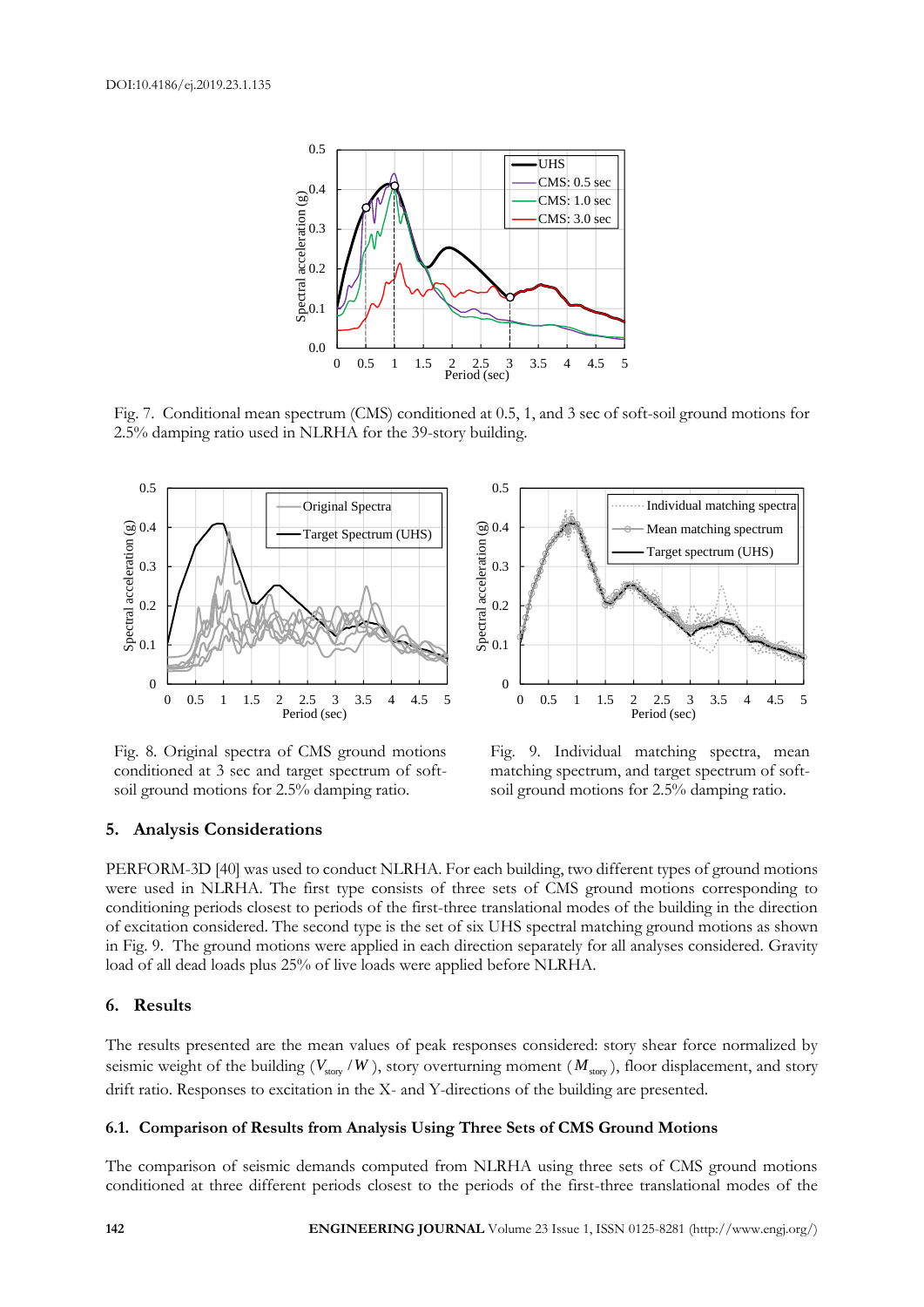

Fig. 7. Conditional mean spectrum (CMS) conditioned at 0.5, 1, and 3 sec of soft-soil ground motions for 2.5% damping ratio used in NLRHA for the 39-story building.



Fig. 8. Original spectra of CMS ground motions conditioned at 3 sec and target spectrum of softsoil ground motions for 2.5% damping ratio.



Fig. 9. Individual matching spectra, mean matching spectrum, and target spectrum of softsoil ground motions for 2.5% damping ratio.

#### **5. Analysis Considerations**

PERFORM-3D [40] was used to conduct NLRHA. For each building, two different types of ground motions were used in NLRHA. The first type consists of three sets of CMS ground motions corresponding to conditioning periods closest to periods of the first-three translational modes of the building in the direction of excitation considered. The second type is the set of six UHS spectral matching ground motions as shown in Fig. 9. The ground motions were applied in each direction separately for all analyses considered. Gravity load of all dead loads plus 25% of live loads were applied before NLRHA.

#### **6. Results**

The results presented are the mean values of peak responses considered: story shear force normalized by seismic weight of the building  $(V_{\text{stop}}/W)$ , story overturning moment  $(M_{\text{stop}})$ , floor displacement, and story drift ratio. Responses to excitation in the X- and Y-directions of the building are presented.

#### **6.1. Comparison of Results from Analysis Using Three Sets of CMS Ground Motions**

The comparison of seismic demands computed from NLRHA using three sets of CMS ground motions conditioned at three different periods closest to the periods of the first-three translational modes of the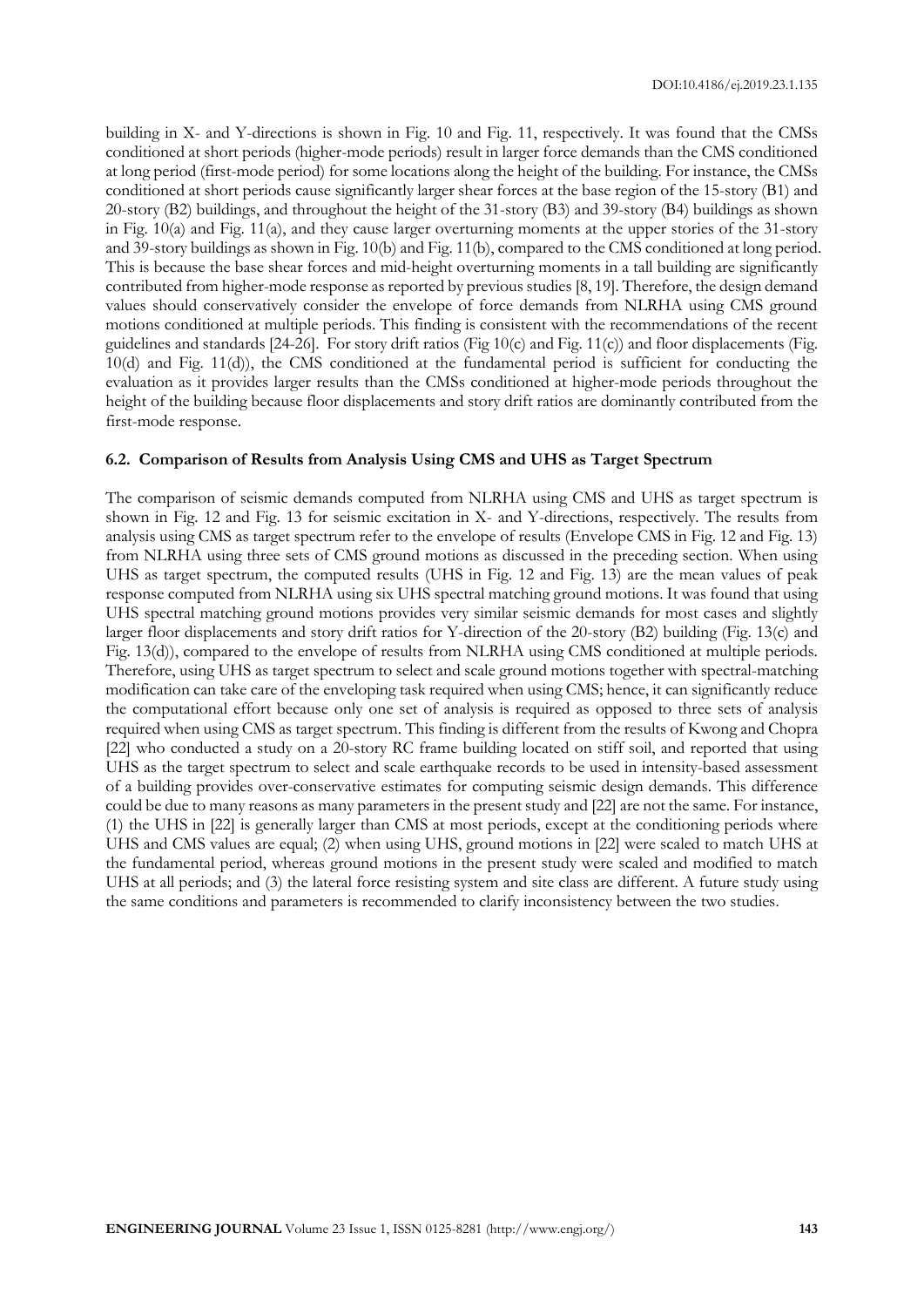building in X- and Y-directions is shown in Fig. 10 and Fig. 11, respectively. It was found that the CMSs conditioned at short periods (higher-mode periods) result in larger force demands than the CMS conditioned at long period (first-mode period) for some locations along the height of the building. For instance, the CMSs conditioned at short periods cause significantly larger shear forces at the base region of the 15-story (B1) and 20-story (B2) buildings, and throughout the height of the 31-story (B3) and 39-story (B4) buildings as shown in Fig. 10(a) and Fig. 11(a), and they cause larger overturning moments at the upper stories of the 31-story and 39-story buildings as shown in Fig. 10(b) and Fig. 11(b), compared to the CMS conditioned at long period. This is because the base shear forces and mid-height overturning moments in a tall building are significantly contributed from higher-mode response as reported by previous studies [8, 19]. Therefore, the design demand values should conservatively consider the envelope of force demands from NLRHA using CMS ground motions conditioned at multiple periods. This finding is consistent with the recommendations of the recent guidelines and standards [24-26]. For story drift ratios (Fig 10(c) and Fig. 11(c)) and floor displacements (Fig. 10(d) and Fig. 11(d)), the CMS conditioned at the fundamental period is sufficient for conducting the evaluation as it provides larger results than the CMSs conditioned at higher-mode periods throughout the height of the building because floor displacements and story drift ratios are dominantly contributed from the first-mode response.

#### **6.2. Comparison of Results from Analysis Using CMS and UHS as Target Spectrum**

The comparison of seismic demands computed from NLRHA using CMS and UHS as target spectrum is shown in Fig. 12 and Fig. 13 for seismic excitation in X- and Y-directions, respectively. The results from analysis using CMS as target spectrum refer to the envelope of results (Envelope CMS in Fig. 12 and Fig. 13) from NLRHA using three sets of CMS ground motions as discussed in the preceding section. When using UHS as target spectrum, the computed results (UHS in Fig. 12 and Fig. 13) are the mean values of peak response computed from NLRHA using six UHS spectral matching ground motions. It was found that using UHS spectral matching ground motions provides very similar seismic demands for most cases and slightly larger floor displacements and story drift ratios for Y-direction of the 20-story (B2) building (Fig. 13(c) and Fig. 13(d)), compared to the envelope of results from NLRHA using CMS conditioned at multiple periods. Therefore, using UHS as target spectrum to select and scale ground motions together with spectral-matching modification can take care of the enveloping task required when using CMS; hence, it can significantly reduce the computational effort because only one set of analysis is required as opposed to three sets of analysis required when using CMS as target spectrum. This finding is different from the results of Kwong and Chopra [22] who conducted a study on a 20-story RC frame building located on stiff soil, and reported that using UHS as the target spectrum to select and scale earthquake records to be used in intensity-based assessment of a building provides over-conservative estimates for computing seismic design demands. This difference could be due to many reasons as many parameters in the present study and [22] are not the same. For instance, (1) the UHS in [22] is generally larger than CMS at most periods, except at the conditioning periods where UHS and CMS values are equal; (2) when using UHS, ground motions in [22] were scaled to match UHS at the fundamental period, whereas ground motions in the present study were scaled and modified to match UHS at all periods; and (3) the lateral force resisting system and site class are different. A future study using the same conditions and parameters is recommended to clarify inconsistency between the two studies.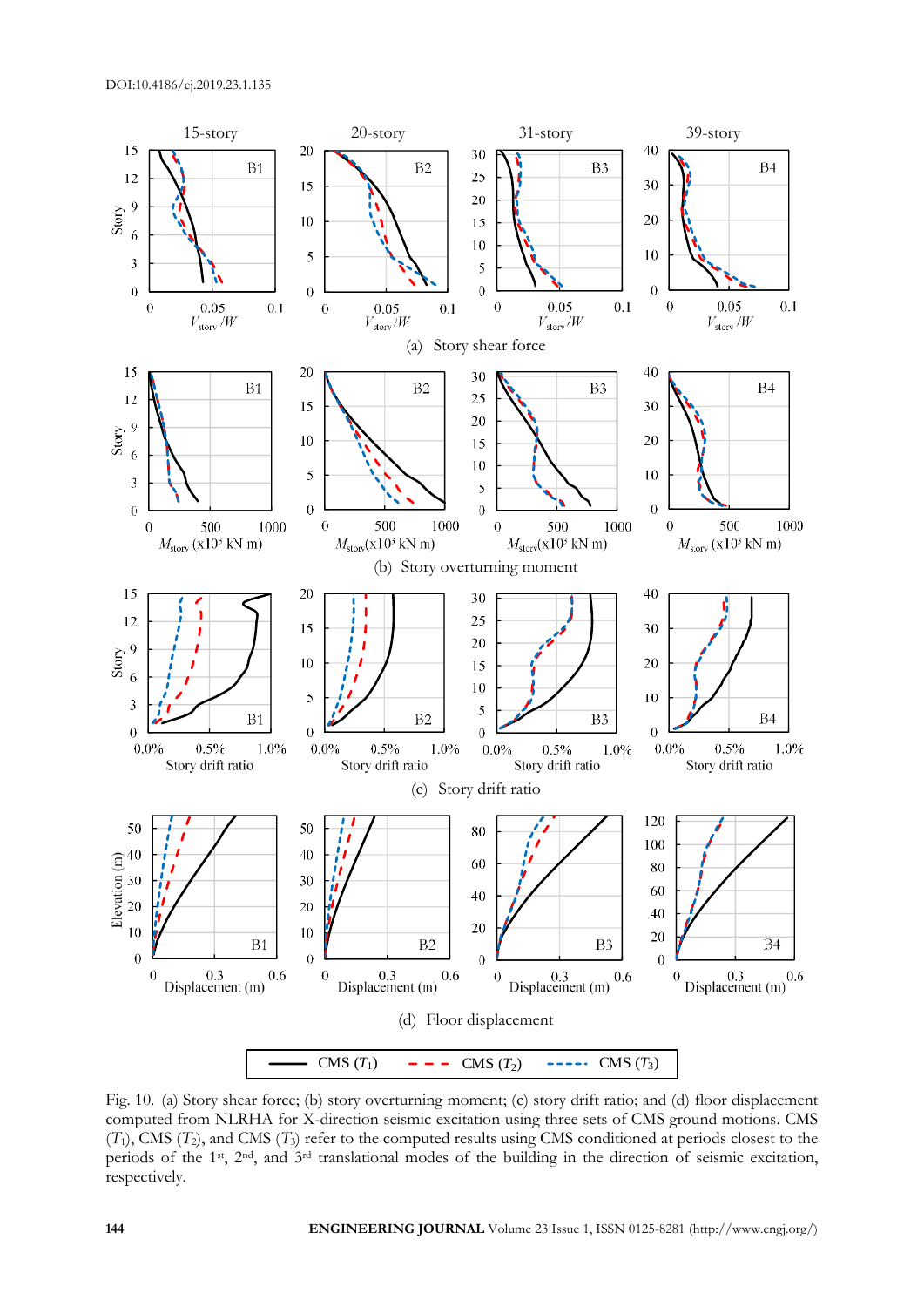

Fig. 10. (a) Story shear force; (b) story overturning moment; (c) story drift ratio; and (d) floor displacement computed from NLRHA for X-direction seismic excitation using three sets of CMS ground motions. CMS  $(T_1)$ , CMS  $(T_2)$ , and CMS  $(T_3)$  refer to the computed results using CMS conditioned at periods closest to the periods of the 1st, 2nd, and 3rd translational modes of the building in the direction of seismic excitation, respectively.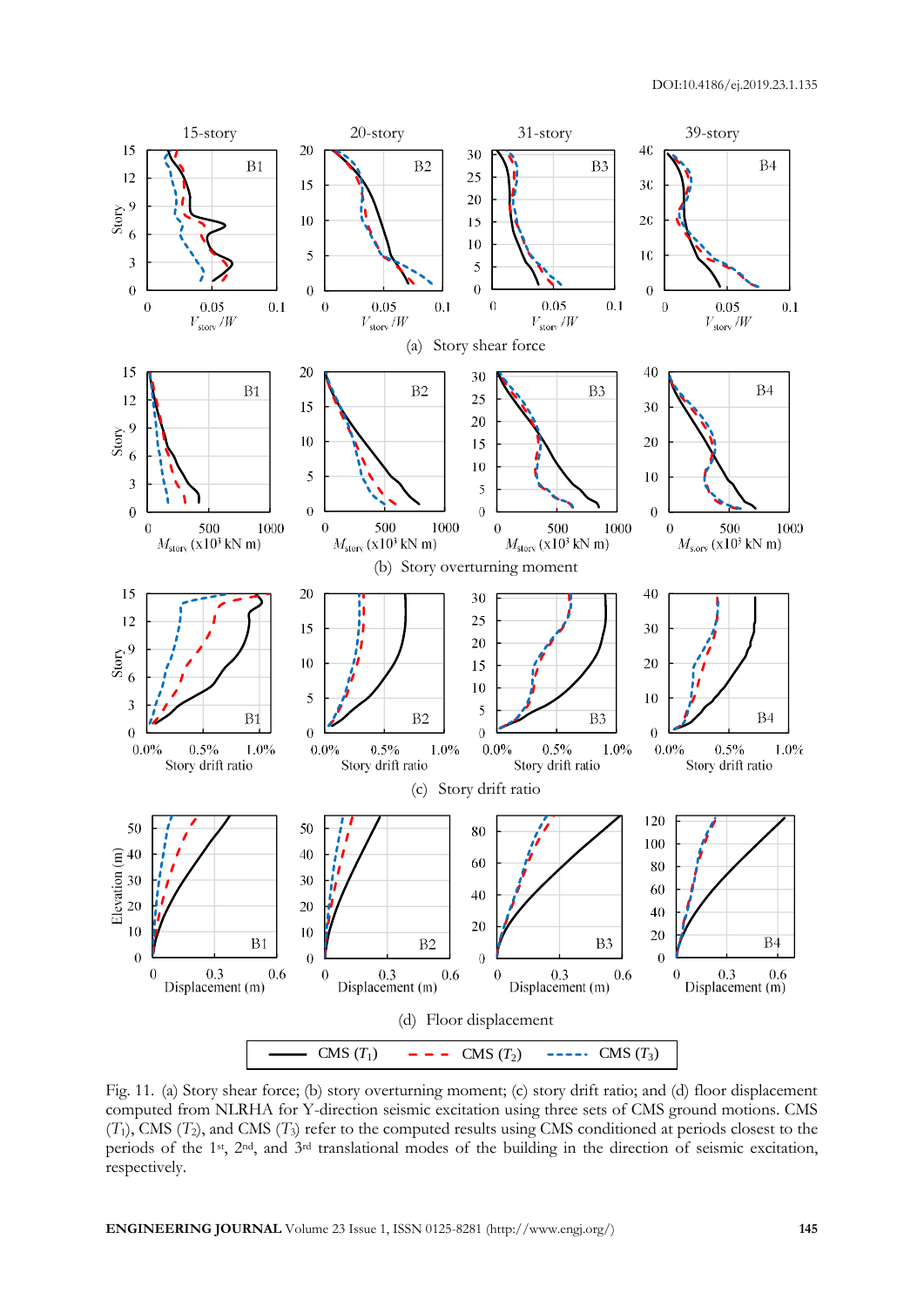

Fig. 11. (a) Story shear force; (b) story overturning moment; (c) story drift ratio; and (d) floor displacement computed from NLRHA for Y-direction seismic excitation using three sets of CMS ground motions. CMS  $(T_1)$ , CMS  $(T_2)$ , and CMS  $(T_3)$  refer to the computed results using CMS conditioned at periods closest to the periods of the 1st, 2nd, and 3rd translational modes of the building in the direction of seismic excitation, respectively.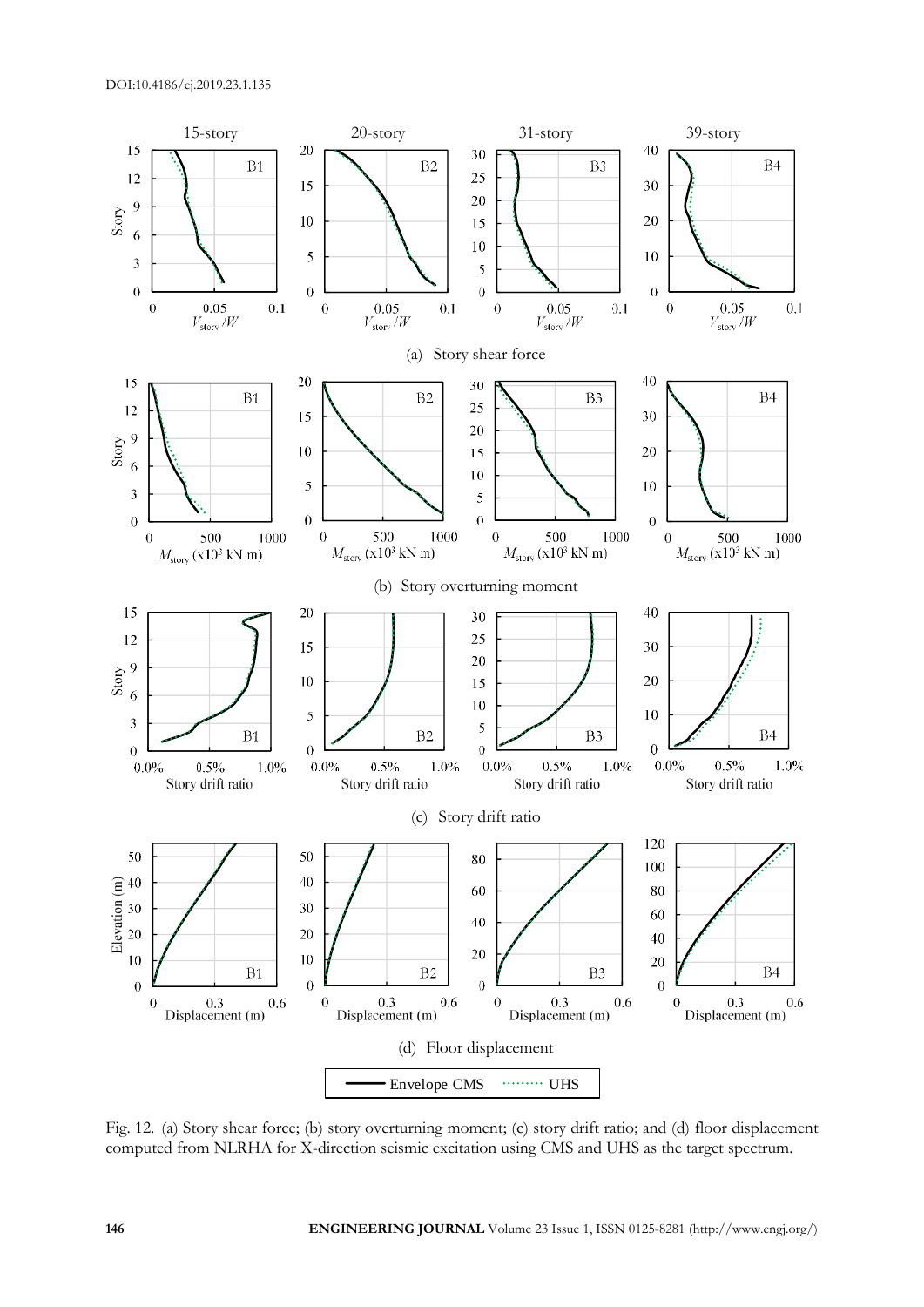

Fig. 12. (a) Story shear force; (b) story overturning moment; (c) story drift ratio; and (d) floor displacement computed from NLRHA for X-direction seismic excitation using CMS and UHS as the target spectrum.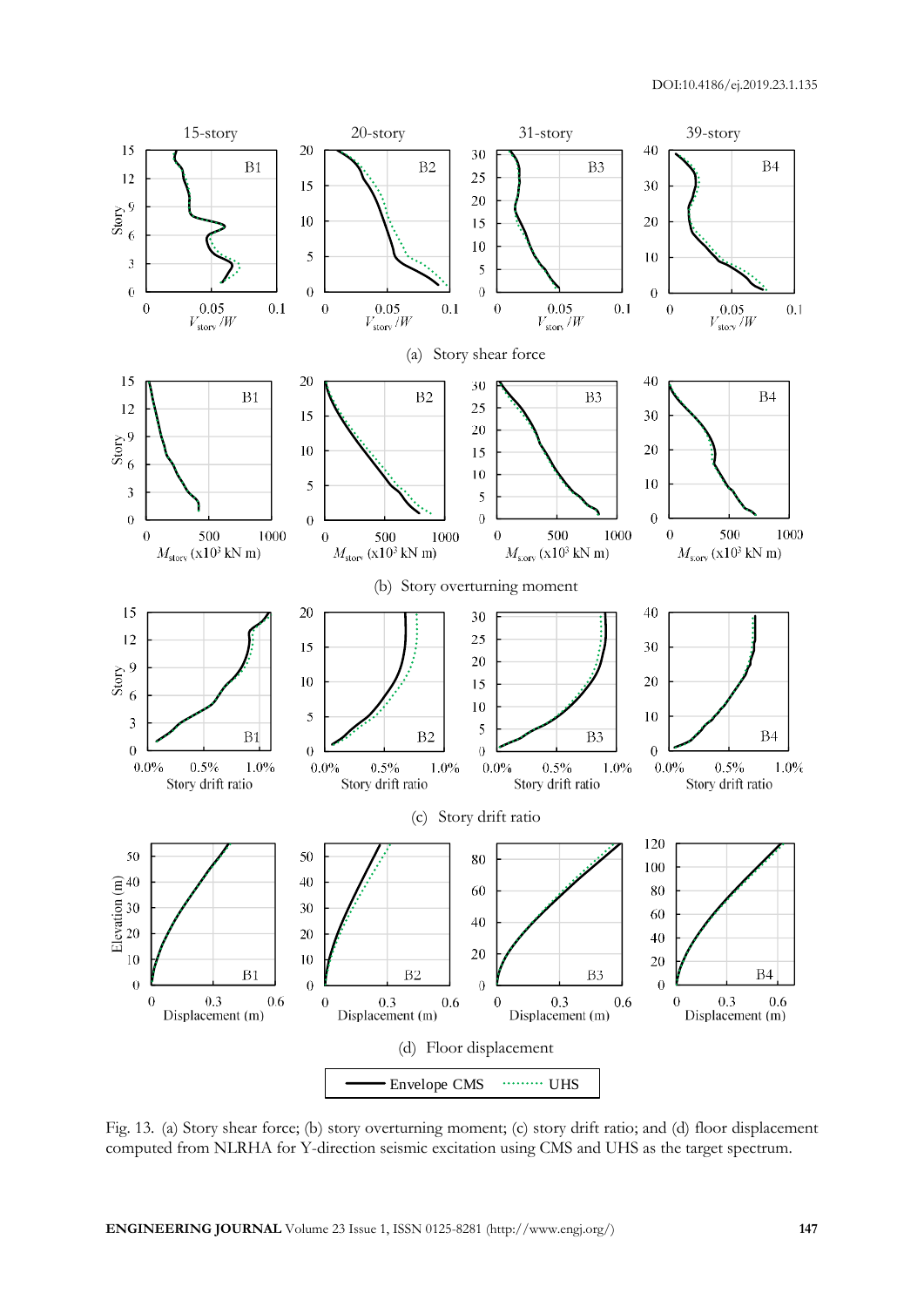

Fig. 13. (a) Story shear force; (b) story overturning moment; (c) story drift ratio; and (d) floor displacement computed from NLRHA for Y-direction seismic excitation using CMS and UHS as the target spectrum.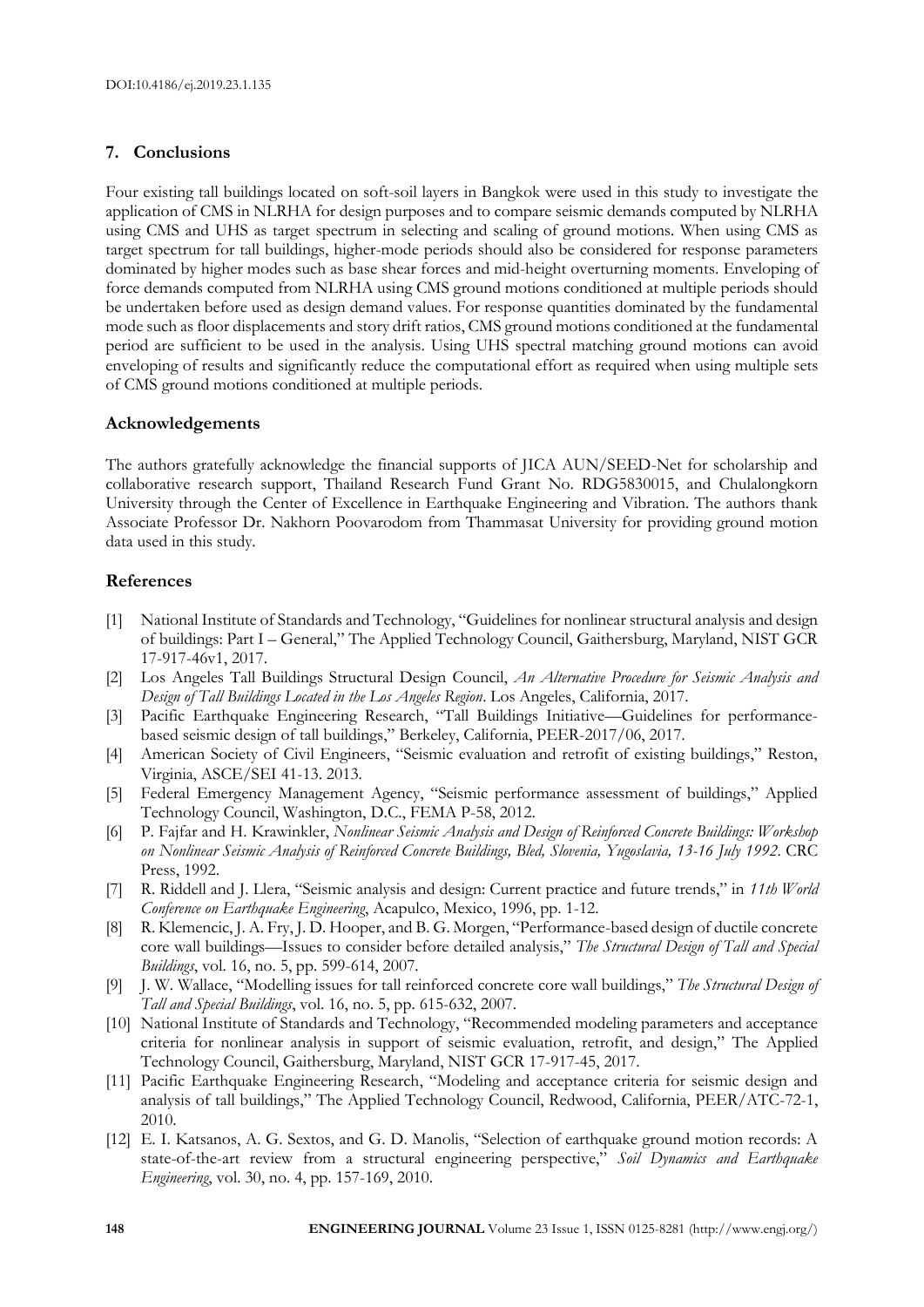## **7. Conclusions**

Four existing tall buildings located on soft-soil layers in Bangkok were used in this study to investigate the application of CMS in NLRHA for design purposes and to compare seismic demands computed by NLRHA using CMS and UHS as target spectrum in selecting and scaling of ground motions. When using CMS as target spectrum for tall buildings, higher-mode periods should also be considered for response parameters dominated by higher modes such as base shear forces and mid-height overturning moments. Enveloping of force demands computed from NLRHA using CMS ground motions conditioned at multiple periods should be undertaken before used as design demand values. For response quantities dominated by the fundamental mode such as floor displacements and story drift ratios, CMS ground motions conditioned at the fundamental period are sufficient to be used in the analysis. Using UHS spectral matching ground motions can avoid enveloping of results and significantly reduce the computational effort as required when using multiple sets of CMS ground motions conditioned at multiple periods.

### **Acknowledgements**

The authors gratefully acknowledge the financial supports of JICA AUN/SEED-Net for scholarship and collaborative research support, Thailand Research Fund Grant No. RDG5830015, and Chulalongkorn University through the Center of Excellence in Earthquake Engineering and Vibration. The authors thank Associate Professor Dr. Nakhorn Poovarodom from Thammasat University for providing ground motion data used in this study.

## **References**

- [1] National Institute of Standards and Technology, "Guidelines for nonlinear structural analysis and design of buildings: Part I – General," The Applied Technology Council, Gaithersburg, Maryland, NIST GCR 17-917-46v1, 2017.
- [2] Los Angeles Tall Buildings Structural Design Council, *An Alternative Procedure for Seismic Analysis and Design of Tall Buildings Located in the Los Angeles Region*. Los Angeles, California, 2017.
- [3] Pacific Earthquake Engineering Research, "Tall Buildings Initiative—Guidelines for performancebased seismic design of tall buildings," Berkeley, California, PEER-2017/06, 2017.
- [4] American Society of Civil Engineers, "Seismic evaluation and retrofit of existing buildings," Reston, Virginia, ASCE/SEI 41-13. 2013.
- [5] Federal Emergency Management Agency, "Seismic performance assessment of buildings," Applied Technology Council, Washington, D.C., FEMA P-58, 2012.
- [6] P. Fajfar and H. Krawinkler, *Nonlinear Seismic Analysis and Design of Reinforced Concrete Buildings: Workshop on Nonlinear Seismic Analysis of Reinforced Concrete Buildings, Bled, Slovenia, Yugoslavia, 13-16 July 1992*. CRC Press, 1992.
- [7] R. Riddell and J. Llera, "Seismic analysis and design: Current practice and future trends," in *11th World Conference on Earthquake Engineering*, Acapulco, Mexico, 1996, pp. 1-12.
- [8] R. Klemencic, J. A. Fry, J. D. Hooper, and B. G. Morgen, "Performance-based design of ductile concrete core wall buildings—Issues to consider before detailed analysis," *The Structural Design of Tall and Special Buildings*, vol. 16, no. 5, pp. 599-614, 2007.
- [9] J. W. Wallace, "Modelling issues for tall reinforced concrete core wall buildings," *The Structural Design of Tall and Special Buildings*, vol. 16, no. 5, pp. 615-632, 2007.
- [10] National Institute of Standards and Technology, "Recommended modeling parameters and acceptance criteria for nonlinear analysis in support of seismic evaluation, retrofit, and design," The Applied Technology Council, Gaithersburg, Maryland, NIST GCR 17-917-45, 2017.
- [11] Pacific Earthquake Engineering Research, "Modeling and acceptance criteria for seismic design and analysis of tall buildings," The Applied Technology Council, Redwood, California, PEER/ATC-72-1, 2010.
- [12] E. I. Katsanos, A. G. Sextos, and G. D. Manolis, "Selection of earthquake ground motion records: A state-of-the-art review from a structural engineering perspective," *Soil Dynamics and Earthquake Engineering*, vol. 30, no. 4, pp. 157-169, 2010.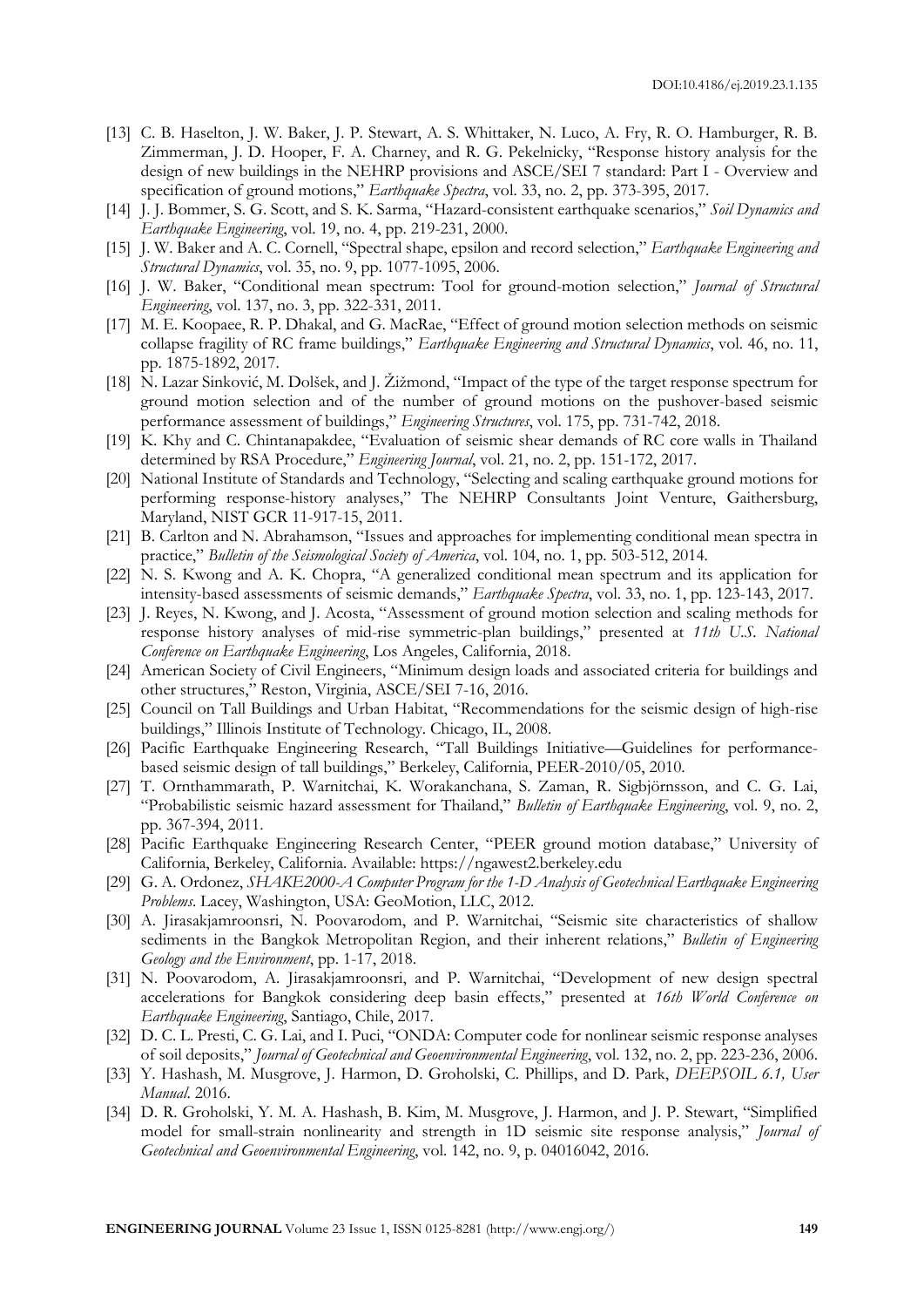- [13] C. B. Haselton, J. W. Baker, J. P. Stewart, A. S. Whittaker, N. Luco, A. Fry, R. O. Hamburger, R. B. Zimmerman, J. D. Hooper, F. A. Charney, and R. G. Pekelnicky, "Response history analysis for the design of new buildings in the NEHRP provisions and ASCE/SEI 7 standard: Part I - Overview and specification of ground motions," *Earthquake Spectra*, vol. 33, no. 2, pp. 373-395, 2017.
- [14] J. J. Bommer, S. G. Scott, and S. K. Sarma, "Hazard-consistent earthquake scenarios," *Soil Dynamics and Earthquake Engineering*, vol. 19, no. 4, pp. 219-231, 2000.
- [15] J. W. Baker and A. C. Cornell, "Spectral shape, epsilon and record selection," *Earthquake Engineering and Structural Dynamics*, vol. 35, no. 9, pp. 1077-1095, 2006.
- [16] J. W. Baker, "Conditional mean spectrum: Tool for ground-motion selection," *Journal of Structural Engineering*, vol. 137, no. 3, pp. 322-331, 2011.
- [17] M. E. Koopaee, R. P. Dhakal, and G. MacRae, "Effect of ground motion selection methods on seismic collapse fragility of RC frame buildings," *Earthquake Engineering and Structural Dynamics*, vol. 46, no. 11, pp. 1875-1892, 2017.
- [18] N. Lazar Sinković, M. Dolšek, and J. Žižmond, "Impact of the type of the target response spectrum for ground motion selection and of the number of ground motions on the pushover-based seismic performance assessment of buildings," *Engineering Structures*, vol. 175, pp. 731-742, 2018.
- [19] K. Khy and C. Chintanapakdee, "Evaluation of seismic shear demands of RC core walls in Thailand determined by RSA Procedure," *Engineering Journal*, vol. 21, no. 2, pp. 151-172, 2017.
- [20] National Institute of Standards and Technology, "Selecting and scaling earthquake ground motions for performing response-history analyses," The NEHRP Consultants Joint Venture, Gaithersburg, Maryland, NIST GCR 11-917-15, 2011.
- [21] B. Carlton and N. Abrahamson, "Issues and approaches for implementing conditional mean spectra in practice," *Bulletin of the Seismological Society of America*, vol. 104, no. 1, pp. 503-512, 2014.
- [22] N. S. Kwong and A. K. Chopra, "A generalized conditional mean spectrum and its application for intensity-based assessments of seismic demands," *Earthquake Spectra*, vol. 33, no. 1, pp. 123-143, 2017.
- [23] J. Reyes, N. Kwong, and J. Acosta, "Assessment of ground motion selection and scaling methods for response history analyses of mid-rise symmetric-plan buildings," presented at *11th U.S. National Conference on Earthquake Engineering*, Los Angeles, California, 2018.
- [24] American Society of Civil Engineers, "Minimum design loads and associated criteria for buildings and other structures," Reston, Virginia, ASCE/SEI 7-16, 2016.
- [25] Council on Tall Buildings and Urban Habitat, "Recommendations for the seismic design of high-rise buildings," Illinois Institute of Technology. Chicago, IL, 2008.
- [26] Pacific Earthquake Engineering Research, "Tall Buildings Initiative—Guidelines for performancebased seismic design of tall buildings," Berkeley, California, PEER-2010/05, 2010.
- [27] T. Ornthammarath, P. Warnitchai, K. Worakanchana, S. Zaman, R. Sigbjörnsson, and C. G. Lai, "Probabilistic seismic hazard assessment for Thailand," *Bulletin of Earthquake Engineering*, vol. 9, no. 2, pp. 367-394, 2011.
- [28] Pacific Earthquake Engineering Research Center, "PEER ground motion database," University of California, Berkeley, California. Available: https://ngawest2.berkeley.edu
- [29] G. A. Ordonez, *SHAKE2000-A Computer Program for the 1-D Analysis of Geotechnical Earthquake Engineering Problems*. Lacey, Washington, USA: GeoMotion, LLC, 2012.
- [30] A. Jirasakjamroonsri, N. Poovarodom, and P. Warnitchai, "Seismic site characteristics of shallow sediments in the Bangkok Metropolitan Region, and their inherent relations," *Bulletin of Engineering Geology and the Environment*, pp. 1-17, 2018.
- [31] N. Poovarodom, A. Jirasakjamroonsri, and P. Warnitchai, "Development of new design spectral accelerations for Bangkok considering deep basin effects," presented at *16th World Conference on Earthquake Engineering*, Santiago, Chile, 2017.
- [32] D. C. L. Presti, C. G. Lai, and I. Puci, "ONDA: Computer code for nonlinear seismic response analyses of soil deposits," *Journal of Geotechnical and Geoenvironmental Engineering*, vol. 132, no. 2, pp. 223-236, 2006.
- [33] Y. Hashash, M. Musgrove, J. Harmon, D. Groholski, C. Phillips, and D. Park, *DEEPSOIL 6.1, User Manual*. 2016.
- [34] D. R. Groholski, Y. M. A. Hashash, B. Kim, M. Musgrove, J. Harmon, and J. P. Stewart, "Simplified model for small-strain nonlinearity and strength in 1D seismic site response analysis," *Journal of Geotechnical and Geoenvironmental Engineering*, vol. 142, no. 9, p. 04016042, 2016.